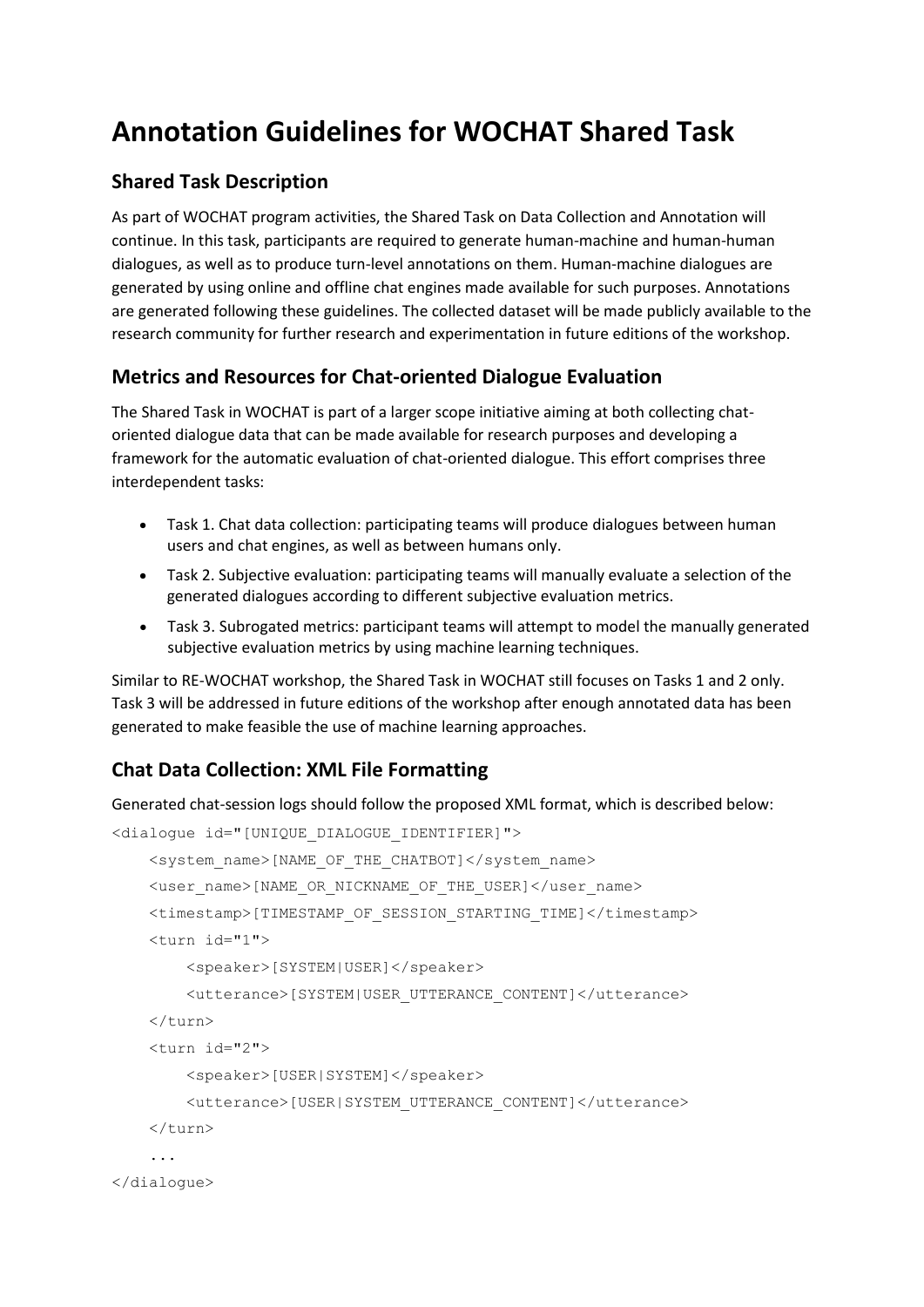# **Annotation Guidelines for WOCHAT Shared Task**

## **Shared Task Description**

As part of WOCHAT program activities, the Shared Task on Data Collection and Annotation will continue. In this task, participants are required to generate human-machine and human-human dialogues, as well as to produce turn-level annotations on them. Human-machine dialogues are generated by using online and offline chat engines made available for such purposes. Annotations are generated following these guidelines. The collected dataset will be made publicly available to the research community for further research and experimentation in future editions of the workshop.

## **Metrics and Resources for Chat-oriented Dialogue Evaluation**

The Shared Task in WOCHAT is part of a larger scope initiative aiming at both collecting chatoriented dialogue data that can be made available for research purposes and developing a framework for the automatic evaluation of chat-oriented dialogue. This effort comprises three interdependent tasks:

- Task 1. Chat data collection: participating teams will produce dialogues between human users and chat engines, as well as between humans only.
- Task 2. Subjective evaluation: participating teams will manually evaluate a selection of the generated dialogues according to different subjective evaluation metrics.
- Task 3. Subrogated metrics: participant teams will attempt to model the manually generated subjective evaluation metrics by using machine learning techniques.

Similar to RE-WOCHAT workshop, the Shared Task in WOCHAT still focuses on Tasks 1 and 2 only. Task 3 will be addressed in future editions of the workshop after enough annotated data has been generated to make feasible the use of machine learning approaches.

## **Chat Data Collection: XML File Formatting**

Generated chat-session logs should follow the proposed XML format, which is described below:

```
<dialogue id="[UNIQUE_DIALOGUE_IDENTIFIER]">
     <system_name>[NAME_OF_THE_CHATBOT]</system_name>
     <user_name>[NAME_OR_NICKNAME_OF_THE_USER]</user_name>
     <timestamp>[TIMESTAMP_OF_SESSION_STARTING_TIME]</timestamp>
     <turn id="1">
         <speaker>[SYSTEM|USER]</speaker>
         <utterance>[SYSTEM|USER_UTTERANCE_CONTENT]</utterance>
    \langle/turn\rangle <turn id="2">
         <speaker>[USER|SYSTEM]</speaker>
         <utterance>[USER|SYSTEM_UTTERANCE_CONTENT]</utterance>
     </turn>
     ...
</dialogue>
```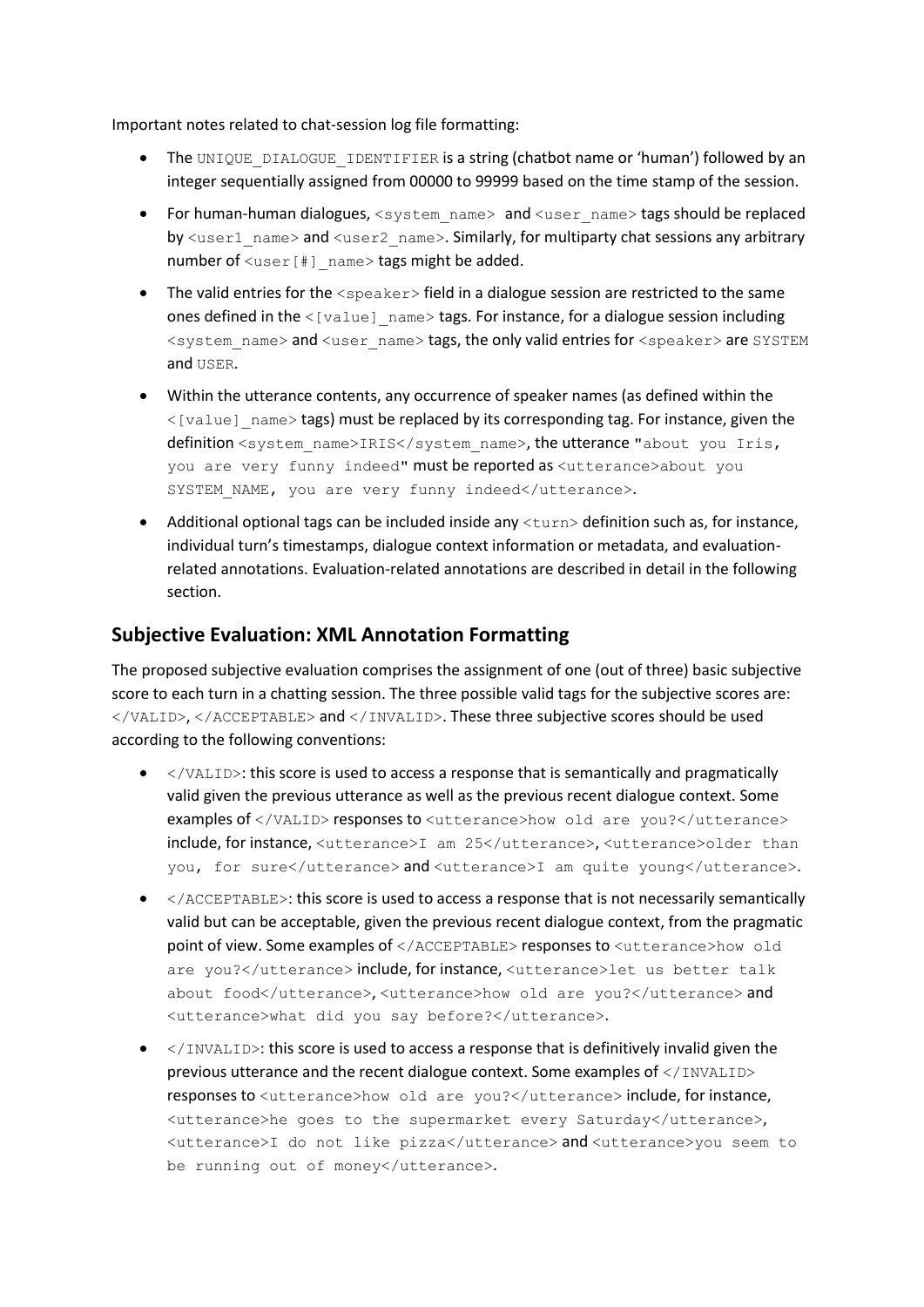Important notes related to chat-session log file formatting:

- The UNIQUE DIALOGUE IDENTIFIER is a string (chatbot name or 'human') followed by an integer sequentially assigned from 00000 to 99999 based on the time stamp of the session.
- For human-human dialogues,  $\langle$ system\_name $\rangle$  and  $\langle$ user\_name $\rangle$  tags should be replaced by  $\langle$ user1\_name> and  $\langle$ user2\_name>. Similarly, for multiparty chat sessions any arbitrary number of  $\langle user|$  name> tags might be added.
- The valid entries for the <speaker> field in a dialogue session are restricted to the same ones defined in the  $\leq$ [value] name> tags. For instance, for a dialogue session including <system\_name> and <user\_name> tags, the only valid entries for <speaker> are SYSTEM and USER.
- Within the utterance contents, any occurrence of speaker names (as defined within the  $\langle$ [value] name> tags) must be replaced by its corresponding tag. For instance, given the definition <system\_name>IRIS</system\_name>, the utterance "about you Iris, you are very funny indeed" must be reported as <utterance>about you SYSTEM NAME, you are very funny indeed</utterance>.
- Additional optional tags can be included inside any  $\tt <sub>turn</sub>$  definition such as, for instance, individual turn's timestamps, dialogue context information or metadata, and evaluationrelated annotations. Evaluation-related annotations are described in detail in the following section.

### **Subjective Evaluation: XML Annotation Formatting**

The proposed subjective evaluation comprises the assignment of one (out of three) basic subjective score to each turn in a chatting session. The three possible valid tags for the subjective scores are: </VALID>, </ACCEPTABLE> and </INVALID>. These three subjective scores should be used according to the following conventions:

- $\bullet$  </VALID>: this score is used to access a response that is semantically and pragmatically valid given the previous utterance as well as the previous recent dialogue context. Some examples of </VALID> responses to <utterance>how old are you?</utterance> include, for instance, <utterance>I am 25</utterance>, <utterance>older than you, for sure</utterance> and <utterance>I am quite young</utterance>.
- </ACCEPTABLE>: this score is used to access a response that is not necessarily semantically valid but can be acceptable, given the previous recent dialogue context, from the pragmatic point of view. Some examples of </ACCEPTABLE> responses to <utterance>how old are you?</utterance> include, for instance, <utterance>let us better talk about food</utterance>, <utterance>how old are you?</utterance> and <utterance>what did you say before?</utterance>.
- $\bullet$  </INVALID>: this score is used to access a response that is definitively invalid given the previous utterance and the recent dialogue context. Some examples of </INVALID> responses to <utterance>how old are you?</utterance> include, for instance, <utterance>he goes to the supermarket every Saturday</utterance>, <utterance>I do not like pizza</utterance> and <utterance>you seem to be running out of money</utterance>.